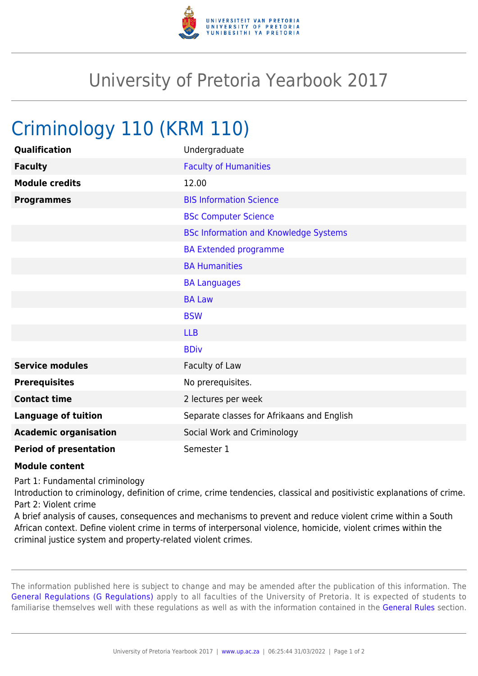

## University of Pretoria Yearbook 2017

## Criminology 110 (KRM 110)

| Qualification                 | Undergraduate                                |
|-------------------------------|----------------------------------------------|
| <b>Faculty</b>                | <b>Faculty of Humanities</b>                 |
| <b>Module credits</b>         | 12.00                                        |
| <b>Programmes</b>             | <b>BIS Information Science</b>               |
|                               | <b>BSc Computer Science</b>                  |
|                               | <b>BSc Information and Knowledge Systems</b> |
|                               | <b>BA Extended programme</b>                 |
|                               | <b>BA Humanities</b>                         |
|                               | <b>BA Languages</b>                          |
|                               | <b>BA Law</b>                                |
|                               | <b>BSW</b>                                   |
|                               | <b>LLB</b>                                   |
|                               | <b>BDiv</b>                                  |
| <b>Service modules</b>        | Faculty of Law                               |
| <b>Prerequisites</b>          | No prerequisites.                            |
| <b>Contact time</b>           | 2 lectures per week                          |
| <b>Language of tuition</b>    | Separate classes for Afrikaans and English   |
| <b>Academic organisation</b>  | Social Work and Criminology                  |
| <b>Period of presentation</b> | Semester 1                                   |

## **Module content**

Part 1: Fundamental criminology

Introduction to criminology, definition of crime, crime tendencies, classical and positivistic explanations of crime. Part 2: Violent crime

A brief analysis of causes, consequences and mechanisms to prevent and reduce violent crime within a South African context. Define violent crime in terms of interpersonal violence, homicide, violent crimes within the criminal justice system and property-related violent crimes.

The information published here is subject to change and may be amended after the publication of this information. The [General Regulations \(G Regulations\)](https://www.up.ac.za/yearbooks/2017/rules/view/REG) apply to all faculties of the University of Pretoria. It is expected of students to familiarise themselves well with these regulations as well as with the information contained in the [General Rules](https://www.up.ac.za/yearbooks/2017/rules/view/RUL) section.